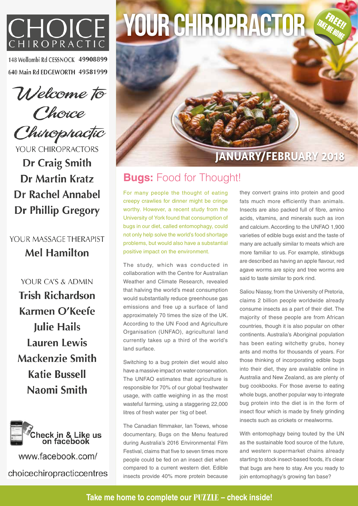

148 Wollombi Rd CESSNOCK 49908899 640 Main Rd EDGEWORTH 49581999

Welcome to

Choice Chinophactic

YOUR CHIROPRACTORS Dr Craig Smith Dr Martin Kratz **Dr Rachel Annabel Dr Phillip Gregory** 

YOUR MASSAGE THERAPIST **Mel Hamilton** 

YOUR CA'S & ADMIN **Trish Richardson** Karmen O'Keefe **Julie Hails Lauren Lewis Mackenzie Smith Katie Bussell** Naomi Smith



www.facebook.com/ choicechiropracticcentres

## YOUR CHIROPRACTOR



## **Bugs:** Food for Thought!

For many people the thought of eating creepy crawlies for dinner might be cringe worthy. However, a recent study from the University of York found that consumption of bugs in our diet, called entomophagy, could not only help solve the world's food shortage problems, but would also have a substantial positive impact on the environment.

The study, which was conducted in collaboration with the Centre for Australian Weather and Climate Research, revealed that halving the world's meat consumption would substantially reduce greenhouse gas emissions and free up a surface of land approximately 70 times the size of the UK. According to the UN Food and Agriculture Organisation (UNFAO), agricultural land currently takes up a third of the world's land surface.

Switching to a bug protein diet would also have a massive impact on water conservation. The UNFAO estimates that agriculture is responsible for 70% of our global freshwater usage, with cattle weighing in as the most wasteful farming, using a staggering 22,000 litres of fresh water per 1kg of beef.

The Canadian filmmaker, Ian Toews, whose documentary, Bugs on the Menu featured during Australia's 2016 Environmental Film Festival, claims that five to seven times more people could be fed on an insect diet when compared to a current western diet. Edible insects provide 40% more protein because

they convert grains into protein and good fats much more efficiently than animals. Insects are also packed full of fibre, amino acids, vitamins, and minerals such as iron and calcium. According to the UNFAO 1,900 varieties of edible bugs exist and the taste of many are actually similar to meats which are more familiar to us. For example, stinkbugs are described as having an apple flavour, red agave worms are spicy and tree worms are said to taste similar to pork rind.

TAKE ME HOME

Saliou Niassy, from the University of Pretoria, claims 2 billion people worldwide already consume insects as a part of their diet. The majority of these people are from African countries, though it is also popular on other continents. Australia's Aboriginal population has been eating witchetty grubs, honey ants and moths for thousands of years. For those thinking of incorporating edible bugs into their diet, they are available online in Australia and New Zealand, as are plenty of bug cookbooks. For those averse to eating whole bugs, another popular way to integrate bug protein into the diet is in the form of insect flour which is made by finely grinding insects such as crickets or mealworms.

With entomophagy being touted by the UN as the sustainable food source of the future, and western supermarket chains already starting to stock insect-based foods, it's clear that bugs are here to stay. Are you ready to join entomophagy's growing fan base?

**Take me home to complete our PUZZLE – check inside!**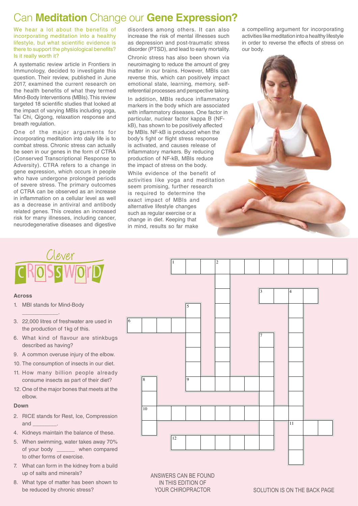## Can **Meditation** Change our **Gene Expression?**

We hear a lot about the benefits of incorporating meditation into a healthy lifestyle, but what scientific evidence is there to support the physiological benefits? Is it really worth it?

A systematic review article in Frontiers in Immunology, decided to investigate this question. Their review, published in June 2017, examined the current research on the health benefits of what they termed Mind-Body Interventions (MBIs). This review targeted 18 scientific studies that looked at the impact of varying MBIs including yoga, Tai Chi, Qigong, relaxation response and breath regulation.

One of the major arguments for incorporating meditation into daily life is to combat stress. Chronic stress can actually be seen in our genes in the form of CTRA (Conserved Transcriptional Response to Adversity). CTRA refers to a change in gene expression, which occurs in people who have undergone prolonged periods of severe stress. The primary outcomes of CTRA can be observed as an increase in inflammation on a cellular level as well as a decrease in antiviral and antibody related genes. This creates an increased risk for many illnesses, including cancer, neurodegenerative diseases and digestive

disorders among others. It can also increase the risk of mental illnesses such as depression and post-traumatic stress disorder (PTSD), and lead to early mortality.

Chronic stress has also been shown via neuroimaging to reduce the amount of grey matter in our brains. However, MBIs can reverse this, which can positively impact emotional state, learning, memory, selfreferential processes and perspective taking.

In addition, MBIs reduce inflammatory markers in the body which are associated with inflammatory diseases. One factor in particular, nuclear factor kappa B (NFkB), has shown to be positively affected by MBIs. NF-kB is produced when the body's fight or flight stress response is activated, and causes release of inflammatory markers. By reducing production of NF-kB, MBIs reduce the impact of stress on the body.

While evidence of the benefit of activities like yoga and meditation seem promising, further research is required to determine the exact impact of MBIs and alternative lifestyle changes such as regular exercise or a change in diet. Keeping that in mind, results so far make

a compelling argument for incorporating activities like meditation into a healthy lifestyle in order to reverse the effects of stress on our body.



# Clever

#### **Across**

1. MBI stands for Mind-Body

 $\overline{\phantom{a}}$  . The set of the set of the set of the set of the set of the set of the set of the set of the set of the set of the set of the set of the set of the set of the set of the set of the set of the set of the set o

- 3. 22,000 litres of freshwater are used in the production of 1kg of this.
- 6. What kind of flavour are stinkbugs described as having?
- 9. A common overuse injury of the elbow.
- 10. The consumption of insects in our diet.
- 11. How many billion people already consume insects as part of their diet?
- 12. One of the major bones that meets at the elbow.

#### **Down**

- 2. RICE stands for Rest, Ice, Compression and \_\_\_\_\_\_\_\_.
- 4. Kidneys maintain the balance of these.
- 5. When swimming, water takes away 70% of your body \_\_\_\_\_\_ when compared to other forms of exercise.
- 7. What can form in the kidney from a build up of salts and minerals?
- 8. What type of matter has been shown to be reduced by chronic stress?



#### ANSWERS CAN BE FOUND IN THIS EDITION OF YOUR CHIROPRACTOR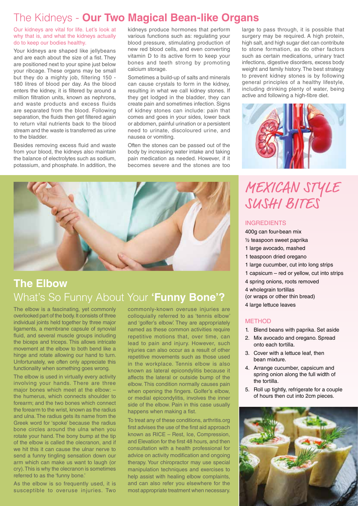#### The Kidneys - **Our Two Magical Bean-like Organs**

Our kidneys are vital for life. Let's look at why that is, and what the kidneys actually do to keep our bodies healthy.

Your kidneys are shaped like jellybeans and are each about the size of a fist. They are positioned next to your spine just below your ribcage. These organs may be small but they do a mighty job, filtering 150 - 180 litres of blood per day. As the blood enters the kidney, it is filtered by around a million filtration units, known as nephrons, and waste products and excess fluids are separated from the blood. Following separation, the fluids then get filtered again to return vital nutrients back to the blood stream and the waste is transferred as urine to the bladder.

Besides removing excess fluid and waste from your blood, the kidneys also maintain the balance of electrolytes such as sodium, potassium, and phosphate. In addition, the kidneys produce hormones that perform various functions such as: regulating your blood pressure, stimulating production of new red blood cells, and even converting vitamin D to its active form to keep your bones and teeth strong by promoting calcium storage.

Sometimes a build-up of salts and minerals can cause crystals to form in the kidney, resulting in what we call kidney stones. If they get lodged in the bladder, they can create pain and sometimes infection. Signs of kidney stones can include: pain that comes and goes in your sides, lower back or abdomen, painful urination or a persistent need to urinate, discoloured urine, and nausea or vomiting.

Often the stones can be passed out of the body by increasing water intake and taking pain medication as needed. However, if it becomes severe and the stones are too



## **The Elbow** What's So Funny About Your **'Funny Bone'?**

The elbow is a fascinating, yet commonly overlooked part of the body. It consists of three individual joints held together by three major ligaments, a membrane capsule of synovial fluid, and several muscle groups including the biceps and triceps. This allows intricate movement at the elbow to both bend like a hinge and rotate allowing our hand to turn. Unfortunately, we often only appreciate this functionality when something goes wrong.

The elbow is used in virtually every activity involving your hands. There are three major bones which meet at the elbow: – the humerus, which connects shoulder to forearm; and the two bones which connect the forearm to the wrist, known as the radius and ulna. The radius gets its name from the Greek word for 'spoke' because the radius bone circles around the ulna when you rotate your hand. The bony bump at the tip of the elbow is called the olecranon, and if we hit this it can cause the ulnar nerve to send a funny tingling sensation down our arm which can make us want to laugh (or cry). This is why the olecranon is sometimes referred to as the 'funny bone.'

As the elbow is so frequently used, it is susceptible to overuse injuries. Two

commonly-known overuse injuries are colloquially referred to as 'tennis elbow' and 'golfer's elbow'. They are appropriately named as these common activities require repetitive motions that, over time, can lead to pain and injury. However, such injuries can also occur as a result of other repetitive movements such as those used in the workplace. Tennis elbow is also known as lateral epicondylitis because it affects the lateral or outside bump of the elbow. This condition normally causes pain when opening the fingers. Golfer's elbow, or medial epicondylitis, involves the inner side of the elbow. Pain in this case usually happens when making a fist.

To treat any of these conditions, arthritis.org first advises the use of the first aid approach known as RICE – Rest, Ice, Compression, and Elevation for the first 48 hours, and then consultation with a health professional for advice on activity modification and ongoing therapy. Your chiropractor may use special manipulation techniques and exercises to help assist with healing elbow complaints, and can also refer you elsewhere for the most appropriate treatment when necessary.

large to pass through, it is possible that surgery may be required. A high protein, high salt, and high sugar diet can contribute to stone formation, as do other factors such as certain medications, urinary tract infections, digestive disorders, excess body weight and family history. The best strategy to prevent kidney stones is by following general principles of a healthy lifestyle, including drinking plenty of water, being active and following a high-fibre diet.



## MEXICAN STYLE SUSHI BITES

#### INGREDIENTS

400g can four-bean mix

- ½ teaspoon sweet paprika
- 1 large avocado, mashed
- 1 teaspoon dried oregano
- 1 large cucumber, cut into long strips
- 1 capsicum red or yellow, cut into strips
- 4 spring onions, roots removed
- 4 wholegrain tortillas
- (or wraps or other thin bread)
- 4 large lettuce leaves

#### METHOD

- 1. Blend beans with paprika. Set aside
- 2. Mix avocado and oregano. Spread onto each tortilla.
- 3. Cover with a lettuce leaf, then bean mixture.
- 4. Arrange cucumber, capsicum and spring onion along the full width of the tortilla.
- 5. Roll up tightly, refrigerate for a couple of hours then cut into 2cm pieces.